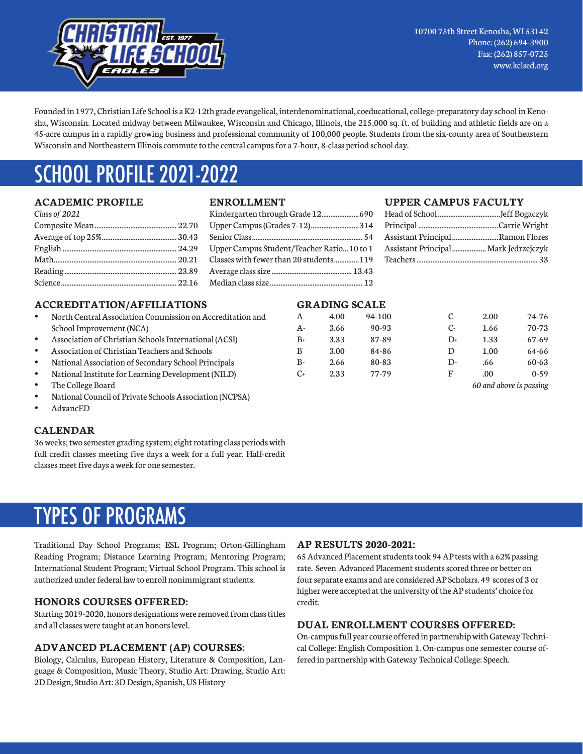

Founded in 1977, Christian Life School is a K2-12th grade evangelical, interdenominational, coeducational, college-preparatory day school in Kenosha, Wisconsin. Located midway between Milwaukee, Wisconsin and Chicago, Illinois, the 215,000 sq. ft. of building and athletic fields are on a 45-acre campus in a rapidly growing business and professional community of 100,000 people. Students from the six-county area of Southeastern Wisconsin and Northeastern Illinois commute to the central campus for a 7-hour, 8-class period school day.

## SCHOOL PROFILE 2021-2022

#### **ACADEMIC PROFILE**

| Class of 2021 |  |
|---------------|--|
|               |  |
|               |  |
|               |  |
|               |  |
|               |  |
|               |  |

#### **ACCREDITATION/AFFILIATIONS**

- North Central Association Commission on Accreditation and School Improvement (NCA)
- Association of Christian Schools International (ACSI)
- Association of Christian Teachers and Schools
- National Association of Secondary School Principals
- National Institute for Learning Development (NILD)
- The College Board
- National Council of Private Schools Association (NCPSA)
- AdvancED

#### **CALENDAR**

36 weeks; two semester grading system; eight rotating class periods with full credit classes meeting five days a week for a full year. Half-credit classes meet five days a week for one semester.

### TYPES OF PROGRAMS

Traditional Day School Programs; ESL Program; Orton-Gillingham Reading Program; Distance Learning Program; Mentoring Program; International Student Program; Virtual School Program. This school is authorized under federal law to enroll nonimmigrant students.

#### **HONORS COURSES OFFERED:**

Starting 2019-2020, honors designations were removed from class titles and all classes were taught at an honors level.

#### **ADVANCED PLACEMENT (AP) COURSES:**

Biology, Calculus, European History, Literature & Composition, Language & Composition, Music Theory, Studio Art: Drawing, Studio Art: 2D Design, Studio Art: 3D Design, Spanish, US History

#### **ENROLLMENT**

| Upper Campus (Grades 7-12)314             |  |
|-------------------------------------------|--|
|                                           |  |
| Upper Campus Student/Teacher Ratio10 to 1 |  |
| Classes with fewer than 20 students119    |  |
|                                           |  |
|                                           |  |

### **UPPER CAMPUS FACULTY**

| Assistant Principal Ramon Flores      |  |
|---------------------------------------|--|
| Assistant Principal  Mark Jedrzejczyk |  |
|                                       |  |

#### **GRADING SCALE**

| A       | 4.00 | 94-100 | C    | 2.00                    | 74-76     |
|---------|------|--------|------|-------------------------|-----------|
| A-      | 3.66 | 90-93  | $C-$ | 1.66                    | 70-73     |
| B+      | 3.33 | 87-89  | D+   | 1.33                    | $67 - 69$ |
| B       | 3.00 | 84-86  | D    | 1.00                    | 64-66     |
| В-      | 2.66 | 80-83  | D-   | .66                     | 60-63     |
| $C_{+}$ | 2.33 | 77-79  | F    | .00.                    | $0 - 59$  |
|         |      |        |      | 60 and above is passing |           |

#### **AP RESULTS 2020-2021:**

65 Advanced Placement students took 94 AP tests with a 62% passing rate. Seven Advanced Placement students scored three or better on four separate exams and are considered AP Scholars. 49 scores of 3 or higher were accepted at the university of the AP students' choice for credit.

#### **DUAL ENROLLMENT COURSES OFFERED:**

On-campus full year course offered in partnership with Gateway Technical College: English Composition 1. On-campus one semester course offered in partnership with Gateway Technical College: Speech.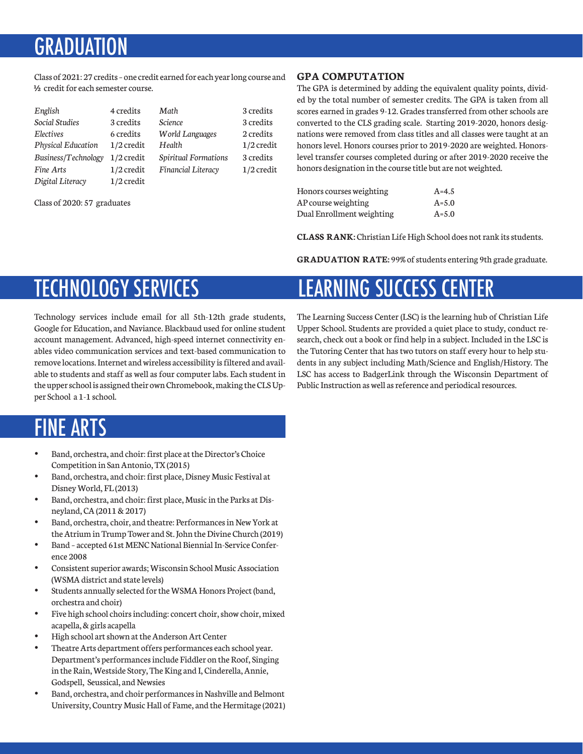### GRADIIAT

Class of 2021: 27 credits – one credit earned for each year long course and ½ credit for each semester course.

| English                   | 4 credits    | Math                        | 3 credits    |
|---------------------------|--------------|-----------------------------|--------------|
| Social Studies            | 3 credits    | <b>Science</b>              | 3 credits    |
| Electives                 | 6 credits    | <b>World Languages</b>      | 2 credits    |
| <b>Physical Education</b> | $1/2$ credit | Health                      | $1/2$ credit |
| Business/Technology       | $1/2$ credit | <b>Spiritual Formations</b> | 3 credits    |
| Fine Arts                 | $1/2$ credit | <b>Financial Literacy</b>   | $1/2$ credit |
| Digital Literacy          | $1/2$ credit |                             |              |

Class of 2020: 57 graduates

#### **GPA COMPUTATION**

The GPA is determined by adding the equivalent quality points, divided by the total number of semester credits. The GPA is taken from all scores earned in grades 9-12. Grades transferred from other schools are converted to the CLS grading scale. Starting 2019-2020, honors designations were removed from class titles and all classes were taught at an honors level. Honors courses prior to 2019-2020 are weighted. Honorslevel transfer courses completed during or after 2019-2020 receive the honors designation in the course title but are not weighted.

| Honors courses weighting  | $A=4.5$   |
|---------------------------|-----------|
| AP course weighting       | $A = 5.0$ |
| Dual Enrollment weighting | $A = 5.0$ |

**CLASS RANK:** Christian Life High School does not rank its students.

**GRADUATION RATE:** 99% of students entering 9th grade graduate.

LEARNING SUCCESS CENTER

### TECHNOLOGY SERVICES

Technology services include email for all 5th-12th grade students, Google for Education, and Naviance. Blackbaud used for online student account management. Advanced, high-speed internet connectivity enables video communication services and text-based communication to remove locations. Internet and wireless accessibility is filtered and available to students and staff as well as four computer labs. Each student in the upper school is assigned their own Chromebook, making the CLS Upper School a 1-1 school.

#### The Learning Success Center (LSC) is the learning hub of Christian Life Upper School. Students are provided a quiet place to study, conduct research, check out a book or find help in a subject. Included in the LSC is the Tutoring Center that has two tutors on staff every hour to help students in any subject including Math/Science and English/History. The LSC has access to BadgerLink through the Wisconsin Department of Public Instruction as well as reference and periodical resources.

## FINE ARTS

- Band, orchestra, and choir: first place at the Director's Choice Competition in San Antonio, TX (2015)
- Band, orchestra, and choir: first place, Disney Music Festival at Disney World, FL (2013)
- Band, orchestra, and choir: first place, Music in the Parks at Disneyland, CA (2011 & 2017)
- Band, orchestra, choir, and theatre: Performances in New York at the Atrium in Trump Tower and St. John the Divine Church (2019)
- Band accepted 61st MENC National Biennial In-Service Conference 2008
- Consistent superior awards; Wisconsin School Music Association (WSMA district and state levels)
- Students annually selected for the WSMA Honors Project (band, orchestra and choir)
- Five high school choirs including: concert choir, show choir, mixed acapella, & girls acapella
- High school art shown at the Anderson Art Center
- Theatre Arts department offers performances each school year. Department's performances include Fiddler on the Roof, Singing in the Rain, Westside Story, The King and I, Cinderella, Annie, Godspell, Seussical, and Newsies
- Band, orchestra, and choir performances in Nashville and Belmont University, Country Music Hall of Fame, and the Hermitage (2021)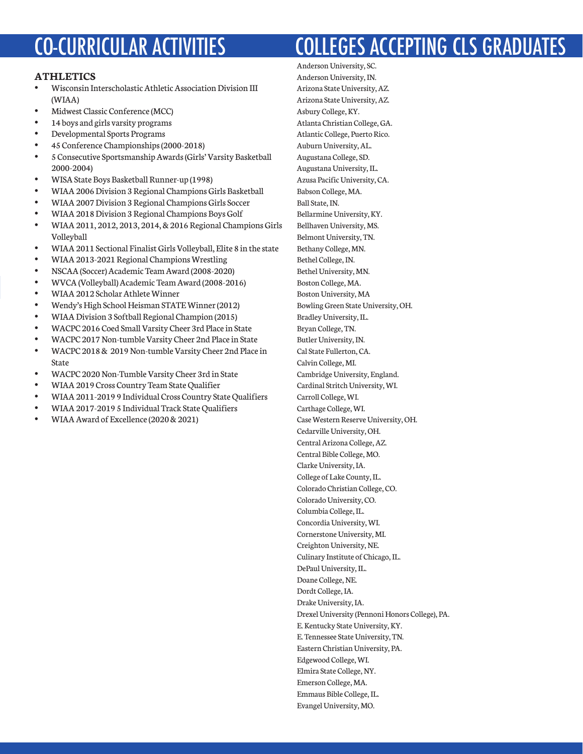# CO-CURRICULAR ACTIVITIES

#### **ATHLETICS**

- Wisconsin Interscholastic Athletic Association Division III (WIAA)
- Midwest Classic Conference (MCC)
- 14 boys and girls varsity programs
- Developmental Sports Programs
- 45 Conference Championships (2000-2018)
- 5 Consecutive Sportsmanship Awards (Girls' Varsity Basketball 2000-2004)
- WISA State Boys Basketball Runner-up (1998)
- WIAA 2006 Division 3 Regional Champions Girls Basketball
- WIAA 2007 Division 3 Regional Champions Girls Soccer
- WIAA 2018 Division 3 Regional Champions Boys Golf
- WIAA 2011, 2012, 2013, 2014, & 2016 Regional Champions Girls Volleyball
- WIAA 2011 Sectional Finalist Girls Volleyball, Elite 8 in the state
- WIAA 2013-2021 Regional Champions Wrestling
- NSCAA (Soccer) Academic Team Award (2008-2020)
- WVCA (Volleyball) Academic Team Award (2008-2016)
- WIAA 2012 Scholar Athlete Winner
- Wendy's High School Heisman STATE Winner (2012)
- WIAA Division 3 Softball Regional Champion (2015)
- WACPC 2016 Coed Small Varsity Cheer 3rd Place in State
- WACPC 2017 Non-tumble Varsity Cheer 2nd Place in State
- WACPC 2018 & 2019 Non-tumble Varsity Cheer 2nd Place in State
- WACPC 2020 Non-Tumble Varsity Cheer 3rd in State
- WIAA 2019 Cross Country Team State Qualifier
- WIAA 2011-2019 9 Individual Cross Country State Qualifiers
- WIAA 2017-2019 5 Individual Track State Qualifiers
- WIAA Award of Excellence (2020 & 2021)

# COLLEGES ACCEPTING CLS GRADUATES

Anderson University, SC. Anderson University, IN. Arizona State University, AZ. Arizona State University, AZ. Asbury College, KY. Atlanta Christian College, GA. Atlantic College, Puerto Rico. Auburn University, AL. Augustana College, SD. Augustana University, IL. Azusa Pacific University, CA. Babson College, MA. Ball State, IN. Bellarmine University, KY. Bellhaven University, MS. Belmont University, TN. Bethany College, MN. Bethel College, IN. Bethel University, MN. Boston College, MA. Boston University, MA Bowling Green State University, OH. Bradley University, IL. Bryan College, TN. Butler University, IN. Cal State Fullerton, CA. Calvin College, MI. Cambridge University, England. Cardinal Stritch University, WI. Carroll College, WI. Carthage College, WI. Case Western Reserve University, OH. Cedarville University, OH. Central Arizona College, AZ. Central Bible College, MO. Clarke University, IA. College of Lake County, IL. Colorado Christian College, CO. Colorado University, CO. Columbia College, IL. Concordia University, WI. Cornerstone University, MI. Creighton University, NE. Culinary Institute of Chicago, IL. DePaul University, IL. Doane College, NE. Dordt College, IA. Drake University, IA. Drexel University (Pennoni Honors College), PA. E. Kentucky State University, KY. E. Tennessee State University, TN. Eastern Christian University, PA. Edgewood College, WI. Elmira State College, NY. Emerson College, MA. Emmaus Bible College, IL. Evangel University, MO.